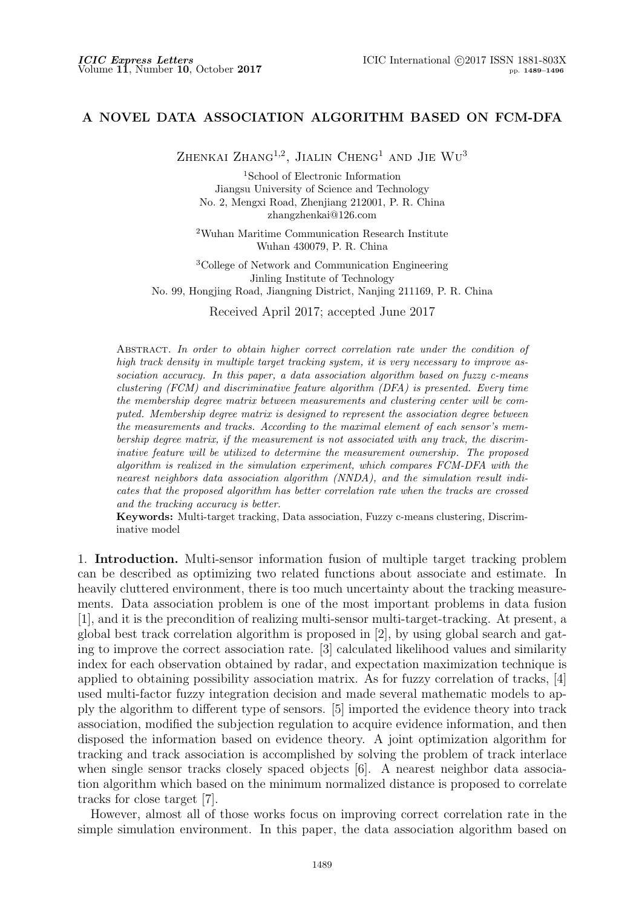## **A NOVEL DATA ASSOCIATION ALGORITHM BASED ON FCM-DFA**

Zhenkai Zhang<sup>1,2</sup>, Jialin Cheng<sup>1</sup> and Jie Wu<sup>3</sup>

<sup>1</sup>School of Electronic Information Jiangsu University of Science and Technology No. 2, Mengxi Road, Zhenjiang 212001, P. R. China zhangzhenkai@126.com

<sup>2</sup>Wuhan Maritime Communication Research Institute Wuhan 430079, P. R. China

<sup>3</sup>College of Network and Communication Engineering Jinling Institute of Technology No. 99, Hongjing Road, Jiangning District, Nanjing 211169, P. R. China

Received April 2017; accepted June 2017

Abstract. *In order to obtain higher correct correlation rate under the condition of high track density in multiple target tracking system, it is very necessary to improve association accuracy. In this paper, a data association algorithm based on fuzzy c-means clustering (FCM) and discriminative feature algorithm (DFA) is presented. Every time the membership degree matrix between measurements and clustering center will be computed. Membership degree matrix is designed to represent the association degree between the measurements and tracks. According to the maximal element of each sensor's membership degree matrix, if the measurement is not associated with any track, the discriminative feature will be utilized to determine the measurement ownership. The proposed algorithm is realized in the simulation experiment, which compares FCM-DFA with the nearest neighbors data association algorithm (NNDA), and the simulation result indicates that the proposed algorithm has better correlation rate when the tracks are crossed and the tracking accuracy is better.*

**Keywords:** Multi-target tracking, Data association, Fuzzy c-means clustering, Discriminative model

1. **Introduction.** Multi-sensor information fusion of multiple target tracking problem can be described as optimizing two related functions about associate and estimate. In heavily cluttered environment, there is too much uncertainty about the tracking measurements. Data association problem is one of the most important problems in data fusion [1], and it is the precondition of realizing multi-sensor multi-target-tracking. At present, a global best track correlation algorithm is proposed in [2], by using global search and gating to improve the correct association rate. [3] calculated likelihood values and similarity index for each observation obtained by radar, and expectation maximization technique is applied to obtaining possibility association matrix. As for fuzzy correlation of tracks, [4] used multi-factor fuzzy integration decision and made several mathematic models to apply the algorithm to different type of sensors. [5] imported the evidence theory into track association, modified the subjection regulation to acquire evidence information, and then disposed the information based on evidence theory. A joint optimization algorithm for tracking and track association is accomplished by solving the problem of track interlace when single sensor tracks closely spaced objects [6]. A nearest neighbor data association algorithm which based on the minimum normalized distance is proposed to correlate tracks for close target [7].

However, almost all of those works focus on improving correct correlation rate in the simple simulation environment. In this paper, the data association algorithm based on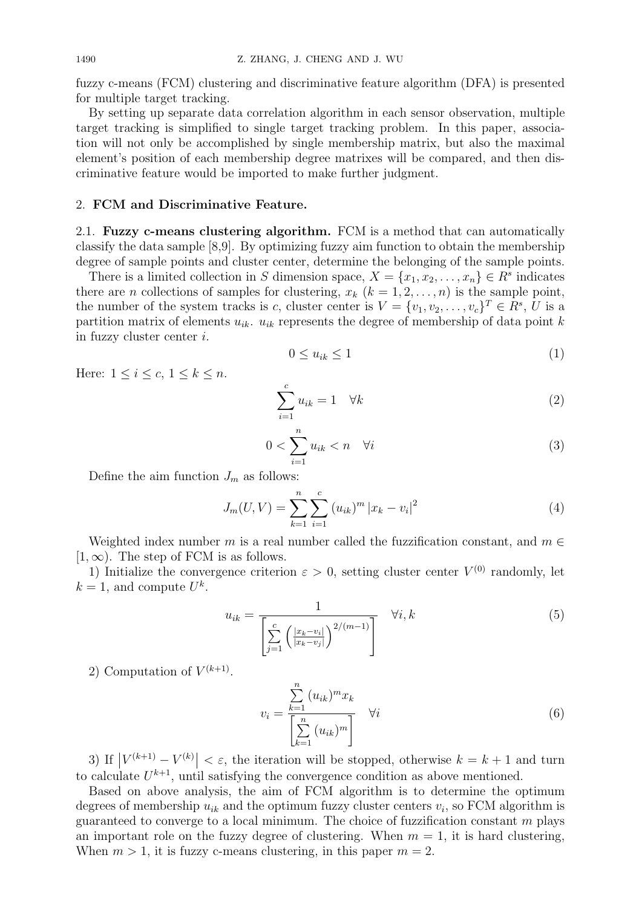fuzzy c-means (FCM) clustering and discriminative feature algorithm (DFA) is presented for multiple target tracking.

By setting up separate data correlation algorithm in each sensor observation, multiple target tracking is simplified to single target tracking problem. In this paper, association will not only be accomplished by single membership matrix, but also the maximal element's position of each membership degree matrixes will be compared, and then discriminative feature would be imported to make further judgment.

## 2. **FCM and Discriminative Feature.**

2.1. **Fuzzy c-means clustering algorithm.** FCM is a method that can automatically classify the data sample [8,9]. By optimizing fuzzy aim function to obtain the membership degree of sample points and cluster center, determine the belonging of the sample points.

There is a limited collection in *S* dimension space,  $X = \{x_1, x_2, \ldots, x_n\} \in \mathbb{R}^s$  indicates there are *n* collections of samples for clustering,  $x_k$  ( $k = 1, 2, \ldots, n$ ) is the sample point, the number of the system tracks is *c*, cluster center is  $V = \{v_1, v_2, \ldots, v_c\}^T \in R^s$ , *U* is a partition matrix of elements  $u_{ik}$ .  $u_{ik}$  represents the degree of membership of data point  $k$ in fuzzy cluster center *i*.

$$
0 \le u_{ik} \le 1 \tag{1}
$$

Here:  $1 \leq i \leq c$ ,  $1 \leq k \leq n$ .

$$
\sum_{i=1}^{c} u_{ik} = 1 \quad \forall k \tag{2}
$$

$$
0 < \sum_{i=1}^{n} u_{ik} < n \quad \forall i \tag{3}
$$

Define the aim function  $J_m$  as follows:

$$
J_m(U, V) = \sum_{k=1}^n \sum_{i=1}^c (u_{ik})^m |x_k - v_i|^2
$$
\n(4)

Weighted index number *m* is a real number called the fuzzification constant, and  $m \in$  $[1, \infty)$ . The step of FCM is as follows.

1) Initialize the convergence criterion  $\varepsilon > 0$ , setting cluster center  $V^{(0)}$  randomly, let  $k = 1$ , and compute  $U^k$ .

$$
u_{ik} = \frac{1}{\left[\sum_{j=1}^{c} \left(\frac{|x_k - v_i|}{|x_k - v_j|}\right)^{2/(m-1)}\right]} \quad \forall i, k
$$
\n<sup>(5)</sup>

2) Computation of  $V^{(k+1)}$ .

$$
v_i = \frac{\sum_{k=1}^{n} (u_{ik})^m x_k}{\left[\sum_{k=1}^{n} (u_{ik})^m\right]} \quad \forall i
$$
\n
$$
(6)
$$

3) If  $|V^{(k+1)} - V^{(k)}| < \varepsilon$ , the iteration will be stopped, otherwise  $k = k + 1$  and turn to calculate  $U^{k+1}$ , until satisfying the convergence condition as above mentioned.

Based on above analysis, the aim of FCM algorithm is to determine the optimum degrees of membership  $u_{ik}$  and the optimum fuzzy cluster centers  $v_i$ , so FCM algorithm is guaranteed to converge to a local minimum. The choice of fuzzification constant *m* plays an important role on the fuzzy degree of clustering. When  $m = 1$ , it is hard clustering, When  $m > 1$ , it is fuzzy c-means clustering, in this paper  $m = 2$ .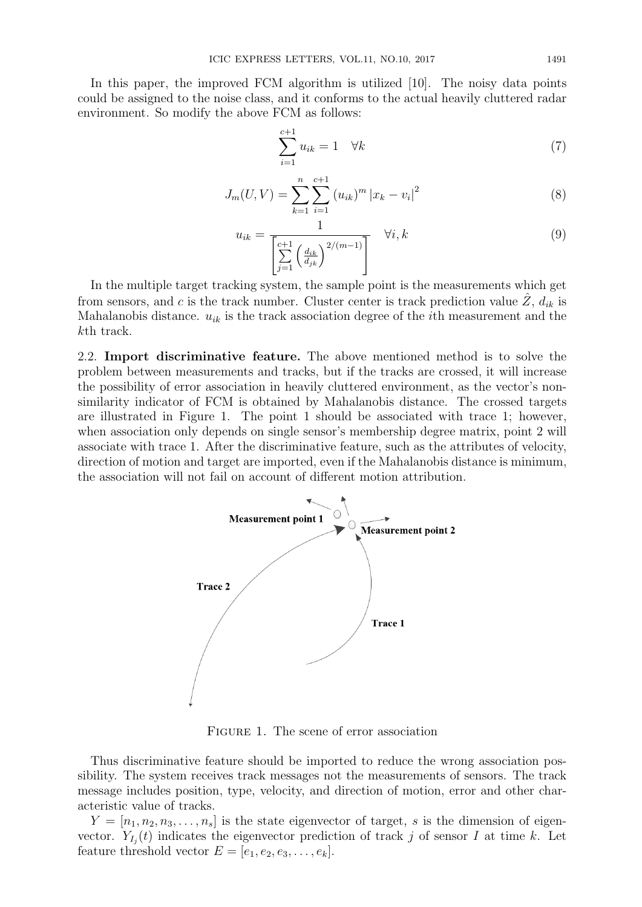In this paper, the improved FCM algorithm is utilized [10]. The noisy data points could be assigned to the noise class, and it conforms to the actual heavily cluttered radar environment. So modify the above FCM as follows:

$$
\sum_{i=1}^{c+1} u_{ik} = 1 \quad \forall k \tag{7}
$$

$$
J_m(U, V) = \sum_{k=1}^n \sum_{i=1}^{c+1} (u_{ik})^m |x_k - v_i|^2
$$
 (8)

$$
u_{ik} = \frac{1}{\left[\sum_{j=1}^{c+1} \left(\frac{d_{ik}}{d_{jk}}\right)^{2/(m-1)}\right]} \quad \forall i, k
$$
\n
$$
(9)
$$

In the multiple target tracking system, the sample point is the measurements which get from sensors, and *c* is the track number. Cluster center is track prediction value  $\hat{Z}$ ,  $d_{ik}$  is Mahalanobis distance.  $u_{ik}$  is the track association degree of the *i*<sup>th</sup> measurement and the *k*th track.

2.2. **Import discriminative feature.** The above mentioned method is to solve the problem between measurements and tracks, but if the tracks are crossed, it will increase the possibility of error association in heavily cluttered environment, as the vector's nonsimilarity indicator of FCM is obtained by Mahalanobis distance. The crossed targets are illustrated in Figure 1. The point 1 should be associated with trace 1; however, when association only depends on single sensor's membership degree matrix, point 2 will associate with trace 1. After the discriminative feature, such as the attributes of velocity, direction of motion and target are imported, even if the Mahalanobis distance is minimum, the association will not fail on account of different motion attribution.



Figure 1. The scene of error association

Thus discriminative feature should be imported to reduce the wrong association possibility. The system receives track messages not the measurements of sensors. The track message includes position, type, velocity, and direction of motion, error and other characteristic value of tracks.

 $Y = [n_1, n_2, n_3, \ldots, n_s]$  is the state eigenvector of target, *s* is the dimension of eigenvector.  $Y_{I_j}(t)$  indicates the eigenvector prediction of track *j* of sensor *I* at time *k*. Let feature threshold vector  $E = [e_1, e_2, e_3, \dots, e_k].$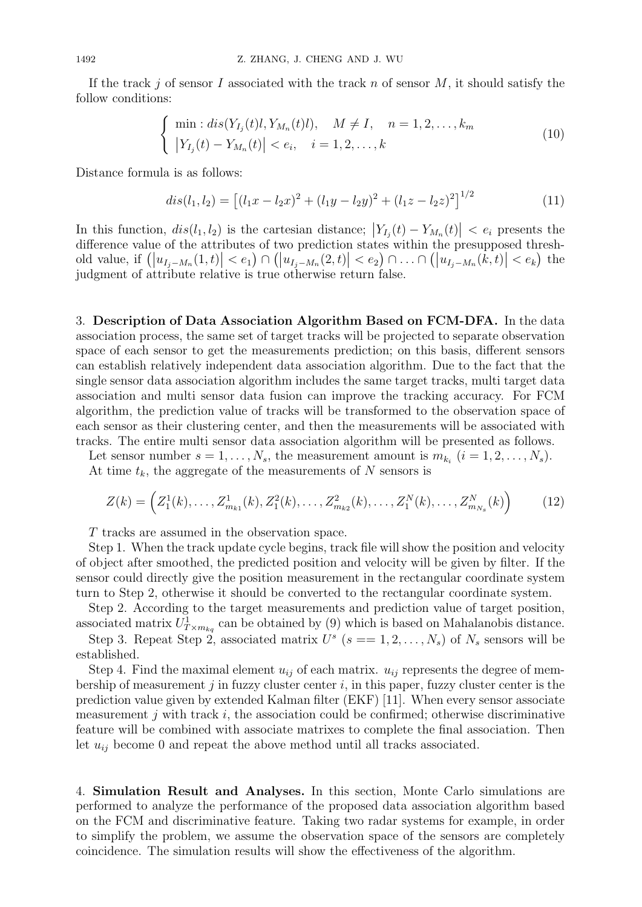If the track *j* of sensor *I* associated with the track *n* of sensor *M*, it should satisfy the follow conditions:

$$
\begin{cases}\n\min: dis(Y_{I_j}(t)l, Y_{M_n}(t)l), \quad M \neq I, \quad n = 1, 2, \dots, k_m \\
|Y_{I_j}(t) - Y_{M_n}(t)| < e_i, \quad i = 1, 2, \dots, k\n\end{cases} \tag{10}
$$

Distance formula is as follows:

$$
dis(l_1, l_2) = [(l_1x - l_2x)^2 + (l_1y - l_2y)^2 + (l_1z - l_2z)^2]^{1/2}
$$
\n(11)

In this function,  $dis(l_1, l_2)$  is the cartesian distance;  $|Y_{I_j}(t) - Y_{M_n}(t)| < e_i$  presents the difference value of the attributes of two prediction states within the presupposed threshold value, if  $(|u_{I_j-M_n}(1,t)| < e_1) \cap (|u_{I_j-M_n}(2,t)| < e_2) \cap ... \cap (|u_{I_j-M_n}(k,t)| < e_k)$  the judgment of attribute relative is true otherwise return false.

3. **Description of Data Association Algorithm Based on FCM-DFA.** In the data association process, the same set of target tracks will be projected to separate observation space of each sensor to get the measurements prediction; on this basis, different sensors can establish relatively independent data association algorithm. Due to the fact that the single sensor data association algorithm includes the same target tracks, multi target data association and multi sensor data fusion can improve the tracking accuracy. For FCM algorithm, the prediction value of tracks will be transformed to the observation space of each sensor as their clustering center, and then the measurements will be associated with tracks. The entire multi sensor data association algorithm will be presented as follows.

Let sensor number  $s = 1, \ldots, N_s$ , the measurement amount is  $m_{k_i}$   $(i = 1, 2, \ldots, N_s)$ . At time  $t_k$ , the aggregate of the measurements of  $N$  sensors is

$$
Z(k) = \left(Z_1^1(k), \dots, Z_{m_{k_1}}^1(k), Z_1^2(k), \dots, Z_{m_{k_2}}^2(k), \dots, Z_1^N(k), \dots, Z_{m_{N_s}}^N(k)\right) \tag{12}
$$

*T* tracks are assumed in the observation space.

Step 1. When the track update cycle begins, track file will show the position and velocity of object after smoothed, the predicted position and velocity will be given by filter. If the sensor could directly give the position measurement in the rectangular coordinate system turn to Step 2, otherwise it should be converted to the rectangular coordinate system.

Step 2. According to the target measurements and prediction value of target position, associated matrix  $U^1_{T \times m_{kq}}$  can be obtained by (9) which is based on Mahalanobis distance.

Step 3. Repeat Step 2, associated matrix  $U^s$  ( $s = 1, 2, ..., N_s$ ) of  $N_s$  sensors will be established.

Step 4. Find the maximal element  $u_{ij}$  of each matrix.  $u_{ij}$  represents the degree of membership of measurement *j* in fuzzy cluster center *i*, in this paper, fuzzy cluster center is the prediction value given by extended Kalman filter (EKF) [11]. When every sensor associate measurement *j* with track *i*, the association could be confirmed; otherwise discriminative feature will be combined with associate matrixes to complete the final association. Then let  $u_{ij}$  become 0 and repeat the above method until all tracks associated.

4. **Simulation Result and Analyses.** In this section, Monte Carlo simulations are performed to analyze the performance of the proposed data association algorithm based on the FCM and discriminative feature. Taking two radar systems for example, in order to simplify the problem, we assume the observation space of the sensors are completely coincidence. The simulation results will show the effectiveness of the algorithm.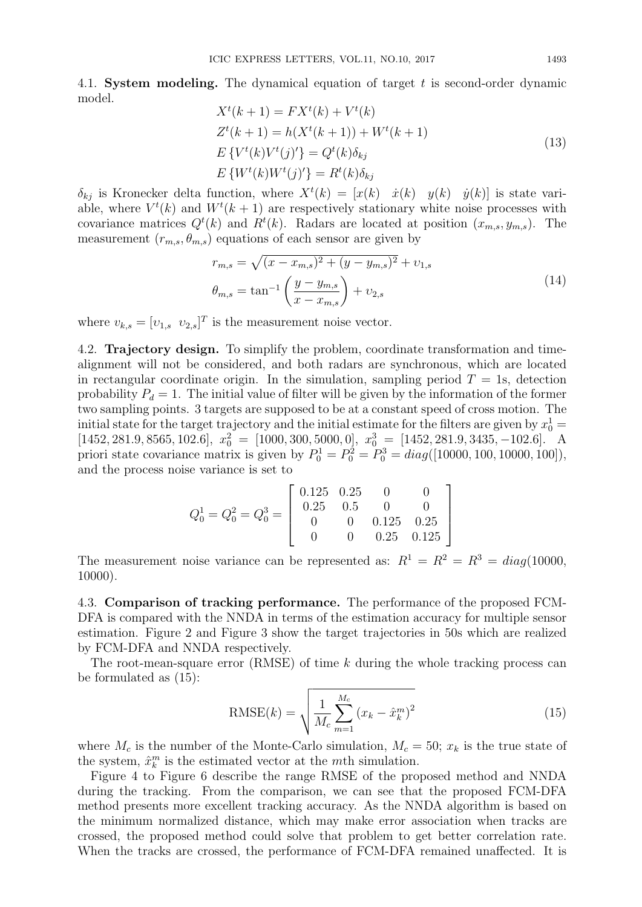4.1. **System modeling.** The dynamical equation of target *t* is second-order dynamic model.

$$
X^{t}(k+1) = FX^{t}(k) + V^{t}(k)
$$
  
\n
$$
Z^{t}(k+1) = h(X^{t}(k+1)) + W^{t}(k+1)
$$
  
\n
$$
E\{V^{t}(k)V^{t}(j)'\} = Q^{t}(k)\delta_{kj}
$$
  
\n
$$
E\{W^{t}(k)W^{t}(j)'\} = R^{t}(k)\delta_{kj}
$$
\n(13)

 $\delta_{kj}$  is Kronecker delta function, where  $X^t(k) = [x(k) \quad \dot{x}(k) \quad y(k) \quad \dot{y}(k)]$  is state variable, where  $V^t(k)$  and  $W^t(k+1)$  are respectively stationary white noise processes with covariance matrices  $Q^t(k)$  and  $R^t(k)$ . Radars are located at position  $(x_{m,s}, y_{m,s})$ . The measurement  $(r_{m,s}, \theta_{m,s})$  equations of each sensor are given by

$$
r_{m,s} = \sqrt{(x - x_{m,s})^2 + (y - y_{m,s})^2} + v_{1,s}
$$
  
\n
$$
\theta_{m,s} = \tan^{-1} \left( \frac{y - y_{m,s}}{x - x_{m,s}} \right) + v_{2,s}
$$
\n(14)

where  $v_{k,s} = [v_{1,s} \ v_{2,s}]^T$  is the measurement noise vector.

4.2. **Trajectory design.** To simplify the problem, coordinate transformation and timealignment will not be considered, and both radars are synchronous, which are located in rectangular coordinate origin. In the simulation, sampling period  $T = 1$ s, detection probability  $P_d = 1$ . The initial value of filter will be given by the information of the former two sampling points. 3 targets are supposed to be at a constant speed of cross motion. The initial state for the target trajectory and the initial estimate for the filters are given by  $x_0^1 =$  $[1452, 281.9, 8565, 102.6], x_0^2 = [1000, 300, 5000, 0], x_0^3 = [1452, 281.9, 3435, -102.6].$  A priori state covariance matrix is given by  $P_0^1 = P_0^2 = P_0^3 = diag([10000, 100, 10000, 100]),$ and the process noise variance is set to

$$
Q_0^1 = Q_0^2 = Q_0^3 = \begin{bmatrix} 0.125 & 0.25 & 0 & 0 \\ 0.25 & 0.5 & 0 & 0 \\ 0 & 0 & 0.125 & 0.25 \\ 0 & 0 & 0.25 & 0.125 \end{bmatrix}
$$

The measurement noise variance can be represented as:  $R^1 = R^2 = R^3 = diag(10000,$ 10000).

4.3. **Comparison of tracking performance.** The performance of the proposed FCM-DFA is compared with the NNDA in terms of the estimation accuracy for multiple sensor estimation. Figure 2 and Figure 3 show the target trajectories in 50s which are realized by FCM-DFA and NNDA respectively.

The root-mean-square error (RMSE) of time *k* during the whole tracking process can be formulated as (15):

RMSE(k) = 
$$
\sqrt{\frac{1}{M_c} \sum_{m=1}^{M_c} (x_k - \hat{x}_k^m)^2}
$$
 (15)

where  $M_c$  is the number of the Monte-Carlo simulation,  $M_c = 50$ ;  $x_k$  is the true state of the system,  $\hat{x}_k^m$  is the estimated vector at the *m*th simulation.

Figure 4 to Figure 6 describe the range RMSE of the proposed method and NNDA during the tracking. From the comparison, we can see that the proposed FCM-DFA method presents more excellent tracking accuracy. As the NNDA algorithm is based on the minimum normalized distance, which may make error association when tracks are crossed, the proposed method could solve that problem to get better correlation rate. When the tracks are crossed, the performance of FCM-DFA remained unaffected. It is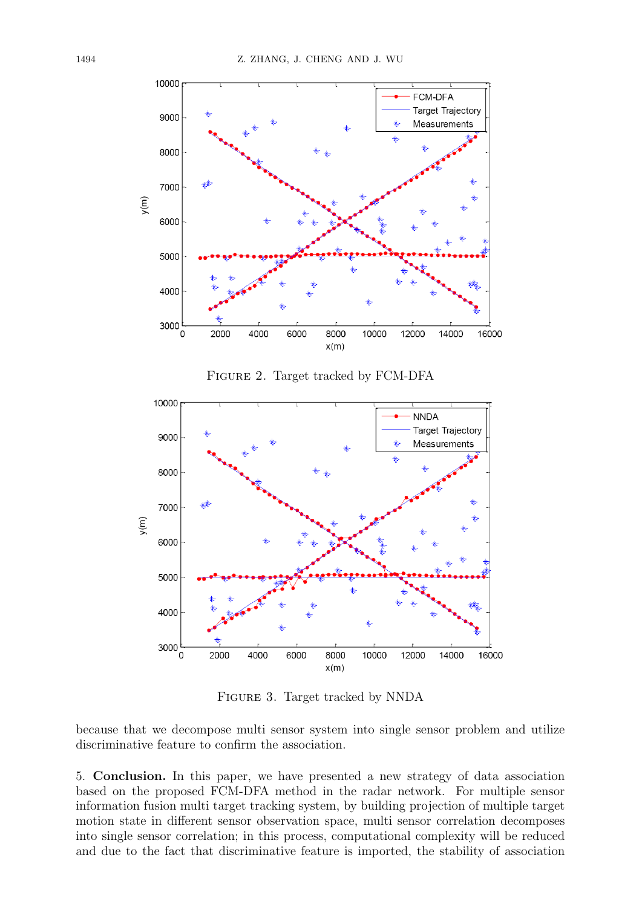

Figure 3. Target tracked by NNDA

because that we decompose multi sensor system into single sensor problem and utilize discriminative feature to confirm the association.

5. **Conclusion.** In this paper, we have presented a new strategy of data association based on the proposed FCM-DFA method in the radar network. For multiple sensor information fusion multi target tracking system, by building projection of multiple target motion state in different sensor observation space, multi sensor correlation decomposes into single sensor correlation; in this process, computational complexity will be reduced and due to the fact that discriminative feature is imported, the stability of association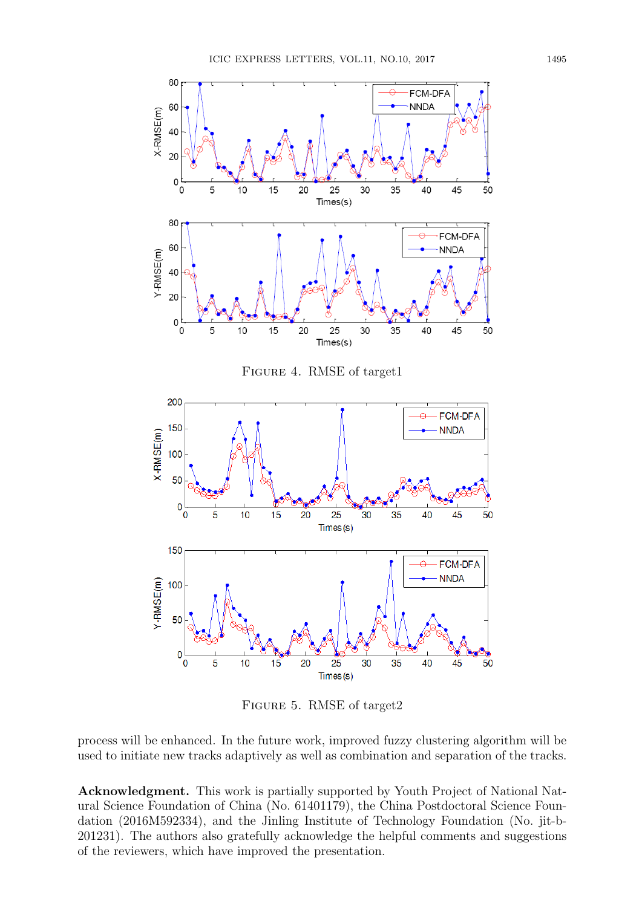

Figure 5. RMSE of target2

process will be enhanced. In the future work, improved fuzzy clustering algorithm will be used to initiate new tracks adaptively as well as combination and separation of the tracks.

**Acknowledgment.** This work is partially supported by Youth Project of National Natural Science Foundation of China (No. 61401179), the China Postdoctoral Science Foundation (2016M592334), and the Jinling Institute of Technology Foundation (No. jit-b-201231). The authors also gratefully acknowledge the helpful comments and suggestions of the reviewers, which have improved the presentation.